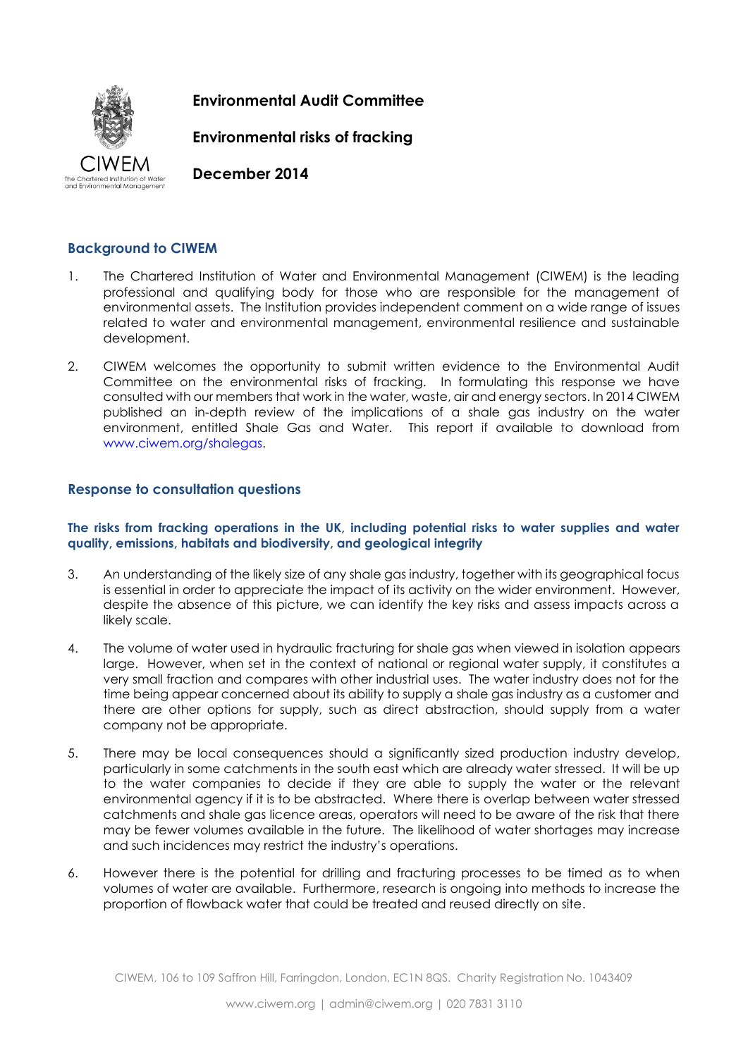

**Environmental Audit Committee**

**Environmental risks of fracking**

**December 2014** 

# **Background to CIWEM**

- 1. The Chartered Institution of Water and Environmental Management (CIWEM) is the leading professional and qualifying body for those who are responsible for the management of environmental assets. The Institution provides independent comment on a wide range of issues related to water and environmental management, environmental resilience and sustainable development.
- 2. CIWEM welcomes the opportunity to submit written evidence to the Environmental Audit Committee on the environmental risks of fracking. In formulating this response we have consulted with our members that work in the water, waste, air and energy sectors. In 2014 CIWEM published an in-depth review of the implications of a shale gas industry on the water environment, entitled Shale Gas and Water. This report if available to download from [www.ciwem.org/shalegas.](http://www.ciwem.org/shalegas)

# **Response to consultation questions**

### **The risks from fracking operations in the UK, including potential risks to water supplies and water quality, emissions, habitats and biodiversity, and geological integrity**

- 3. An understanding of the likely size of any shale gas industry, together with its geographical focus is essential in order to appreciate the impact of its activity on the wider environment. However, despite the absence of this picture, we can identify the key risks and assess impacts across a likely scale.
- 4. The volume of water used in hydraulic fracturing for shale gas when viewed in isolation appears large. However, when set in the context of national or regional water supply, it constitutes a very small fraction and compares with other industrial uses. The water industry does not for the time being appear concerned about its ability to supply a shale gas industry as a customer and there are other options for supply, such as direct abstraction, should supply from a water company not be appropriate.
- 5. There may be local consequences should a significantly sized production industry develop, particularly in some catchments in the south east which are already water stressed. It will be up to the water companies to decide if they are able to supply the water or the relevant environmental agency if it is to be abstracted. Where there is overlap between water stressed catchments and shale gas licence areas, operators will need to be aware of the risk that there may be fewer volumes available in the future. The likelihood of water shortages may increase and such incidences may restrict the industry's operations.
- 6. However there is the potential for drilling and fracturing processes to be timed as to when volumes of water are available. Furthermore, research is ongoing into methods to increase the proportion of flowback water that could be treated and reused directly on site.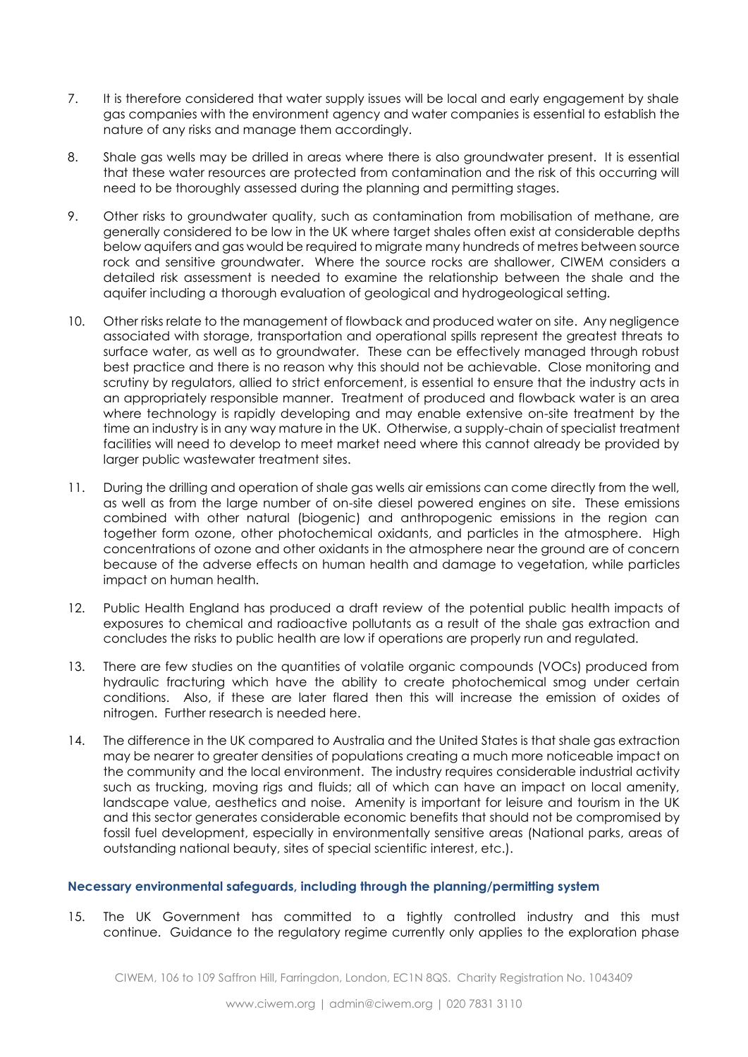- 7. It is therefore considered that water supply issues will be local and early engagement by shale gas companies with the environment agency and water companies is essential to establish the nature of any risks and manage them accordingly.
- 8. Shale gas wells may be drilled in areas where there is also groundwater present. It is essential that these water resources are protected from contamination and the risk of this occurring will need to be thoroughly assessed during the planning and permitting stages.
- 9. Other risks to groundwater quality, such as contamination from mobilisation of methane, are generally considered to be low in the UK where target shales often exist at considerable depths below aquifers and gas would be required to migrate many hundreds of metres between source rock and sensitive groundwater. Where the source rocks are shallower, CIWEM considers a detailed risk assessment is needed to examine the relationship between the shale and the aquifer including a thorough evaluation of geological and hydrogeological setting.
- 10. Other risks relate to the management of flowback and produced water on site. Any negligence associated with storage, transportation and operational spills represent the greatest threats to surface water, as well as to groundwater. These can be effectively managed through robust best practice and there is no reason why this should not be achievable. Close monitoring and scrutiny by regulators, allied to strict enforcement, is essential to ensure that the industry acts in an appropriately responsible manner. Treatment of produced and flowback water is an area where technology is rapidly developing and may enable extensive on-site treatment by the time an industry is in any way mature in the UK. Otherwise, a supply-chain of specialist treatment facilities will need to develop to meet market need where this cannot already be provided by larger public wastewater treatment sites.
- 11. During the drilling and operation of shale gas wells air emissions can come directly from the well, as well as from the large number of on-site diesel powered engines on site. These emissions combined with other natural (biogenic) and anthropogenic emissions in the region can together form ozone, other photochemical oxidants, and particles in the atmosphere. High concentrations of ozone and other oxidants in the atmosphere near the ground are of concern because of the adverse effects on human health and damage to vegetation, while particles impact on human health.
- 12. Public Health England has produced a draft review of the potential public health impacts of exposures to chemical and radioactive pollutants as a result of the shale gas extraction and concludes the risks to public health are low if operations are properly run and regulated.
- 13. There are few studies on the quantities of volatile organic compounds (VOCs) produced from hydraulic fracturing which have the ability to create photochemical smog under certain conditions. Also, if these are later flared then this will increase the emission of oxides of nitrogen. Further research is needed here.
- 14. The difference in the UK compared to Australia and the United States is that shale gas extraction may be nearer to greater densities of populations creating a much more noticeable impact on the community and the local environment. The industry requires considerable industrial activity such as trucking, moving rigs and fluids; all of which can have an impact on local amenity, landscape value, aesthetics and noise. Amenity is important for leisure and tourism in the UK and this sector generates considerable economic benefits that should not be compromised by fossil fuel development, especially in environmentally sensitive areas (National parks, areas of outstanding national beauty, sites of special scientific interest, etc.).

### **Necessary environmental safeguards, including through the planning/permitting system**

15. The UK Government has committed to a tightly controlled industry and this must continue. Guidance to the regulatory regime currently only applies to the exploration phase

CIWEM, 106 to 109 Saffron Hill, Farringdon, London, EC1N 8QS. Charity Registration No. 1043409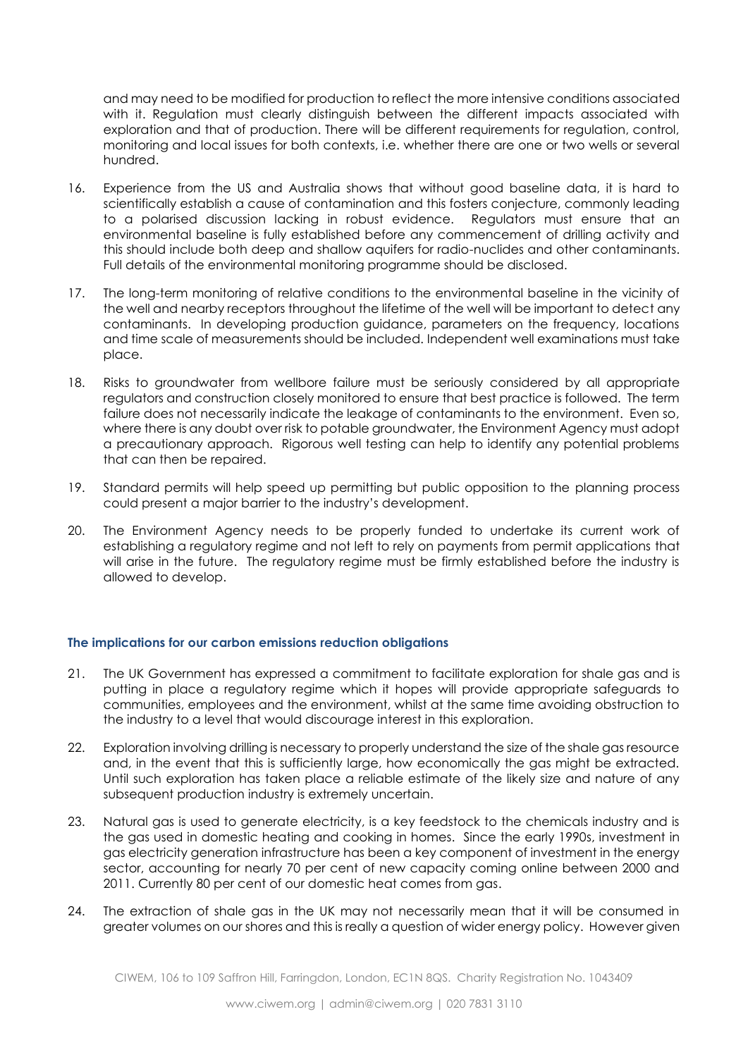and may need to be modified for production to reflect the more intensive conditions associated with it. Regulation must clearly distinguish between the different impacts associated with exploration and that of production. There will be different requirements for regulation, control, monitoring and local issues for both contexts, i.e. whether there are one or two wells or several hundred.

- 16. Experience from the US and Australia shows that without good baseline data, it is hard to scientifically establish a cause of contamination and this fosters conjecture, commonly leading to a polarised discussion lacking in robust evidence. Regulators must ensure that an environmental baseline is fully established before any commencement of drilling activity and this should include both deep and shallow aquifers for radio-nuclides and other contaminants. Full details of the environmental monitoring programme should be disclosed.
- 17. The long-term monitoring of relative conditions to the environmental baseline in the vicinity of the well and nearby receptors throughout the lifetime of the well will be important to detect any contaminants. In developing production guidance, parameters on the frequency, locations and time scale of measurements should be included. Independent well examinations must take place.
- 18. Risks to groundwater from wellbore failure must be seriously considered by all appropriate regulators and construction closely monitored to ensure that best practice is followed. The term failure does not necessarily indicate the leakage of contaminants to the environment. Even so, where there is any doubt over risk to potable groundwater, the Environment Agency must adopt a precautionary approach. Rigorous well testing can help to identify any potential problems that can then be repaired.
- 19. Standard permits will help speed up permitting but public opposition to the planning process could present a major barrier to the industry's development.
- 20. The Environment Agency needs to be properly funded to undertake its current work of establishing a regulatory regime and not left to rely on payments from permit applications that will arise in the future. The regulatory regime must be firmly established before the industry is allowed to develop.

#### **The implications for our carbon emissions reduction obligations**

- 21. The UK Government has expressed a commitment to facilitate exploration for shale gas and is putting in place a regulatory regime which it hopes will provide appropriate safeguards to communities, employees and the environment, whilst at the same time avoiding obstruction to the industry to a level that would discourage interest in this exploration.
- 22. Exploration involving drilling is necessary to properly understand the size of the shale gas resource and, in the event that this is sufficiently large, how economically the gas might be extracted. Until such exploration has taken place a reliable estimate of the likely size and nature of any subsequent production industry is extremely uncertain.
- 23. Natural gas is used to generate electricity, is a key feedstock to the chemicals industry and is the gas used in domestic heating and cooking in homes. Since the early 1990s, investment in gas electricity generation infrastructure has been a key component of investment in the energy sector, accounting for nearly 70 per cent of new capacity coming online between 2000 and 2011. Currently 80 per cent of our domestic heat comes from gas.
- 24. The extraction of shale gas in the UK may not necessarily mean that it will be consumed in greater volumes on our shores and this is really a question of wider energy policy. However given